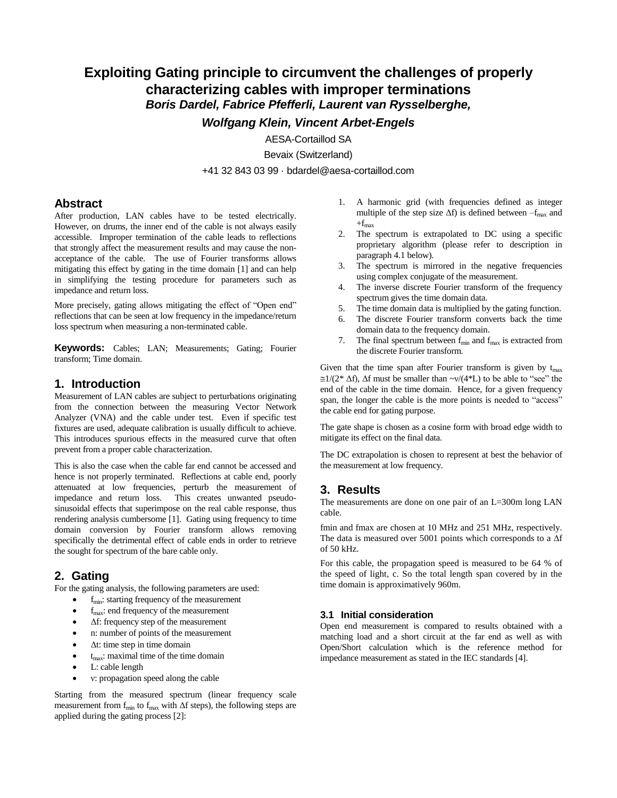# **Exploiting Gating principle to circumvent the challenges of properly characterizing cables with improper terminations** *Boris Dardel, Fabrice Pfefferli, Laurent van Rysselberghe,*

*Wolfgang Klein, Vincent Arbet-Engels*

AESA-Cortaillod SA

Bevaix (Switzerland)

+41 32 843 03 99 · bdardel@aesa-cortaillod.com

### **Abstract**

After production, LAN cables have to be tested electrically. However, on drums, the inner end of the cable is not always easily accessible. Improper termination of the cable leads to reflections that strongly affect the measurement results and may cause the nonacceptance of the cable. The use of Fourier transforms allows mitigating this effect by gating in the time domain [1] and can help in simplifying the testing procedure for parameters such as impedance and return loss.

More precisely, gating allows mitigating the effect of "Open end" reflections that can be seen at low frequency in the impedance/return loss spectrum when measuring a non-terminated cable.

**Keywords:** Cables; LAN; Measurements; Gating; Fourier transform; Time domain.

### **1. Introduction**

Measurement of LAN cables are subject to perturbations originating from the connection between the measuring Vector Network Analyzer (VNA) and the cable under test. Even if specific test fixtures are used, adequate calibration is usually difficult to achieve. This introduces spurious effects in the measured curve that often prevent from a proper cable characterization.

This is also the case when the cable far end cannot be accessed and hence is not properly terminated. Reflections at cable end, poorly attenuated at low frequencies, perturb the measurement of impedance and return loss. This creates unwanted pseudosinusoidal effects that superimpose on the real cable response, thus rendering analysis cumbersome [1]. Gating using frequency to time domain conversion by Fourier transform allows removing specifically the detrimental effect of cable ends in order to retrieve the sought for spectrum of the bare cable only.

# **2. Gating**

For the gating analysis, the following parameters are used:

- $f_{\text{min}}$ : starting frequency of the measurement
- f<sub>max</sub>: end frequency of the measurement
- Δf: frequency step of the measurement
- n: number of points of the measurement
- Δt: time step in time domain
- $t_{\text{max}}$ : maximal time of the time domain
- L: cable length
- ν: propagation speed along the cable

Starting from the measured spectrum (linear frequency scale measurement from  $f_{min}$  to  $f_{max}$  with  $\Delta f$  steps), the following steps are applied during the gating process [2]:

- 1. A harmonic grid (with frequencies defined as integer multiple of the step size  $\Delta f$ ) is defined between  $-f_{\text{max}}$  and  $+f_{\text{max}}$
- 2. The spectrum is extrapolated to DC using a specific proprietary algorithm (please refer to description in paragraph 4.1 below).
- 3. The spectrum is mirrored in the negative frequencies using complex conjugate of the measurement.
- 4. The inverse discrete Fourier transform of the frequency spectrum gives the time domain data.
- 
- 5. The time domain data is multiplied by the gating function.<br>6. The discrete Fourier transform converts back the time The discrete Fourier transform converts back the time domain data to the frequency domain.
- 7. The final spectrum between  $f_{min}$  and  $f_{max}$  is extracted from the discrete Fourier transform.

Given that the time span after Fourier transform is given by  $t_{\text{max}}$  $\approx 1/(2^* \Delta f)$ ,  $\Delta f$  must be smaller than  $\sim v/(4^*L)$  to be able to "see" the end of the cable in the time domain. Hence, for a given frequency span, the longer the cable is the more points is needed to "access" the cable end for gating purpose.

The gate shape is chosen as a cosine form with broad edge width to mitigate its effect on the final data.

The DC extrapolation is chosen to represent at best the behavior of the measurement at low frequency.

# **3. Results**

The measurements are done on one pair of an L=300m long LAN cable.

fmin and fmax are chosen at 10 MHz and 251 MHz, respectively. The data is measured over 5001 points which corresponds to a  $\Delta f$ of 50 kHz.

For this cable, the propagation speed is measured to be 64 % of the speed of light, c. So the total length span covered by in the time domain is approximatively 960m.

### **3.1 Initial consideration**

Open end measurement is compared to results obtained with a matching load and a short circuit at the far end as well as with Open/Short calculation which is the reference method for impedance measurement as stated in the IEC standards [4].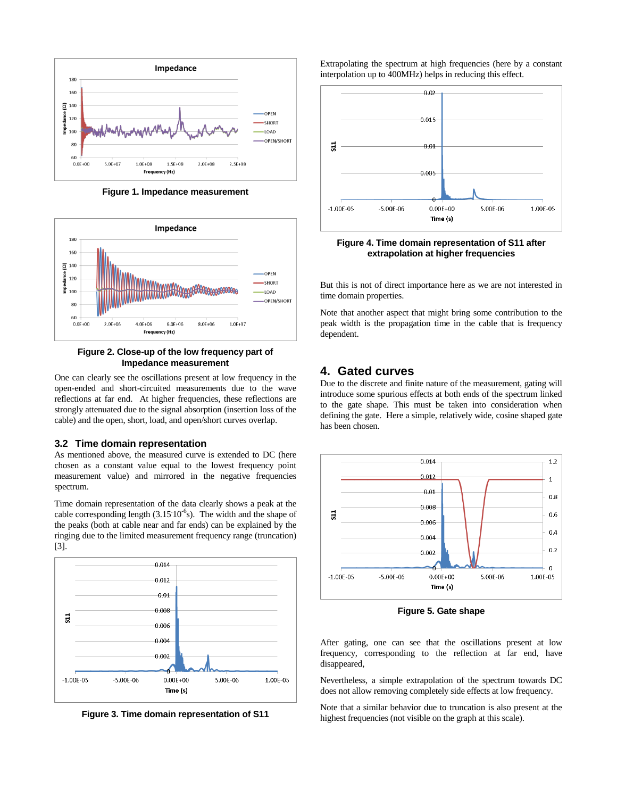

**Figure 1. Impedance measurement** 



#### **Figure 2. Close-up of the low frequency part of Impedance measurement**

One can clearly see the oscillations present at low frequency in the open-ended and short-circuited measurements due to the wave reflections at far end. At higher frequencies, these reflections are strongly attenuated due to the signal absorption (insertion loss of the cable) and the open, short, load, and open/short curves overlap.

#### **3.2 Time domain representation**

As mentioned above, the measured curve is extended to DC (here chosen as a constant value equal to the lowest frequency point measurement value) and mirrored in the negative frequencies spectrum.

Time domain representation of the data clearly shows a peak at the cable corresponding length  $(3.15 \times 10^{-6} s)$ . The width and the shape of the peaks (both at cable near and far ends) can be explained by the ringing due to the limited measurement frequency range (truncation) [3].



**Figure 3. Time domain representation of S11** 

Extrapolating the spectrum at high frequencies (here by a constant interpolation up to 400MHz) helps in reducing this effect.



**Figure 4. Time domain representation of S11 after extrapolation at higher frequencies**

But this is not of direct importance here as we are not interested in time domain properties.

Note that another aspect that might bring some contribution to the peak width is the propagation time in the cable that is frequency dependent.

## **4. Gated curves**

Due to the discrete and finite nature of the measurement, gating will introduce some spurious effects at both ends of the spectrum linked to the gate shape. This must be taken into consideration when defining the gate. Here a simple, relatively wide, cosine shaped gate has been chosen.



**Figure 5. Gate shape** 

After gating, one can see that the oscillations present at low frequency, corresponding to the reflection at far end, have disappeared,

Nevertheless, a simple extrapolation of the spectrum towards DC does not allow removing completely side effects at low frequency.

Note that a similar behavior due to truncation is also present at the highest frequencies (not visible on the graph at this scale).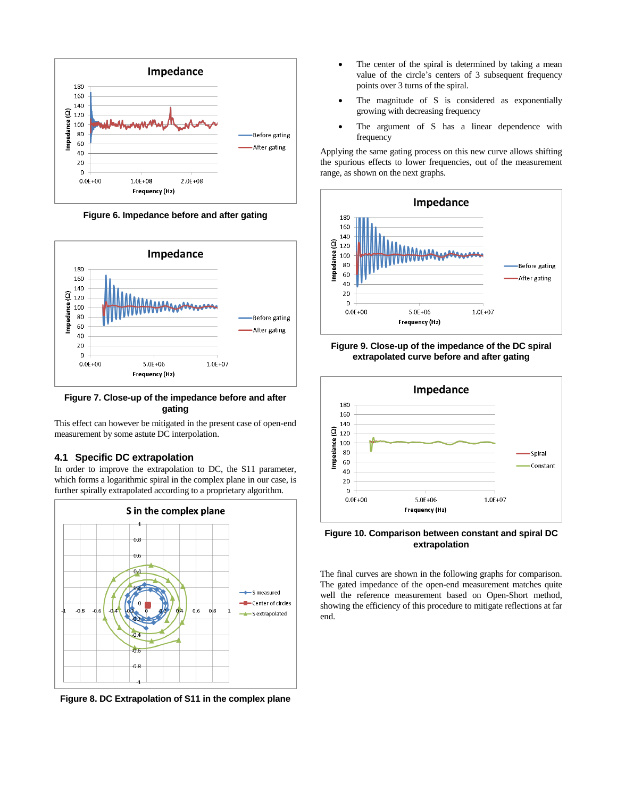

**Figure 6. Impedance before and after gating** 



**Figure 7. Close-up of the impedance before and after gating** 

This effect can however be mitigated in the present case of open-end measurement by some astute DC interpolation.

### **4.1 Specific DC extrapolation**

In order to improve the extrapolation to DC, the S11 parameter, which forms a logarithmic spiral in the complex plane in our case, is further spirally extrapolated according to a proprietary algorithm.



**Figure 8. DC Extrapolation of S11 in the complex plane**

- The center of the spiral is determined by taking a mean value of the circle's centers of 3 subsequent frequency points over 3 turns of the spiral.
- The magnitude of S is considered as exponentially growing with decreasing frequency
- The argument of S has a linear dependence with frequency

Applying the same gating process on this new curve allows shifting the spurious effects to lower frequencies, out of the measurement range, as shown on the next graphs.







#### **Figure 10. Comparison between constant and spiral DC extrapolation**

The final curves are shown in the following graphs for comparison. The gated impedance of the open-end measurement matches quite well the reference measurement based on Open-Short method, showing the efficiency of this procedure to mitigate reflections at far end.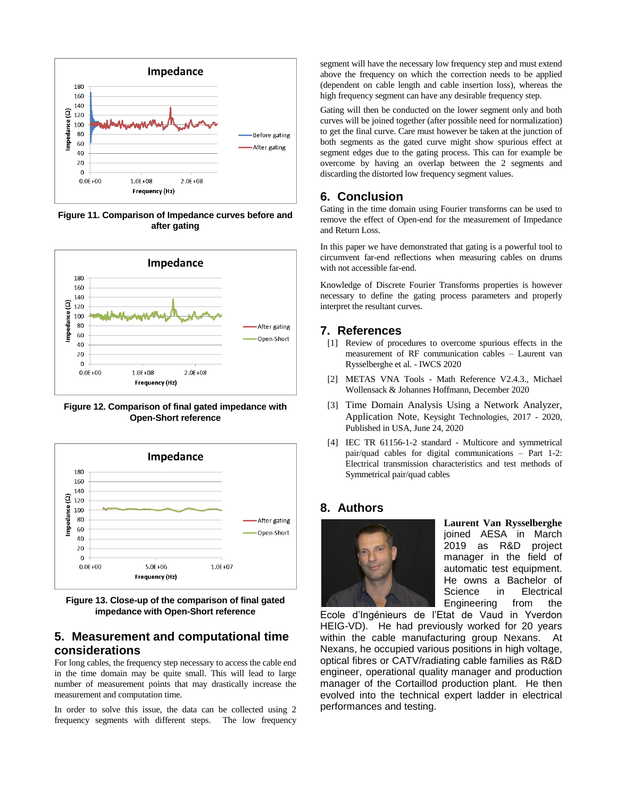

**Figure 11. Comparison of Impedance curves before and after gating**



**Figure 12. Comparison of final gated impedance with Open-Short reference** 



**Figure 13. Close-up of the comparison of final gated impedance with Open-Short reference** 

# **5. Measurement and computational time considerations**

For long cables, the frequency step necessary to access the cable end in the time domain may be quite small. This will lead to large number of measurement points that may drastically increase the measurement and computation time.

In order to solve this issue, the data can be collected using 2 frequency segments with different steps. The low frequency

segment will have the necessary low frequency step and must extend above the frequency on which the correction needs to be applied (dependent on cable length and cable insertion loss), whereas the high frequency segment can have any desirable frequency step.

Gating will then be conducted on the lower segment only and both curves will be joined together (after possible need for normalization) to get the final curve. Care must however be taken at the junction of both segments as the gated curve might show spurious effect at segment edges due to the gating process. This can for example be overcome by having an overlap between the 2 segments and discarding the distorted low frequency segment values.

## **6. Conclusion**

Gating in the time domain using Fourier transforms can be used to remove the effect of Open-end for the measurement of Impedance and Return Loss.

In this paper we have demonstrated that gating is a powerful tool to circumvent far-end reflections when measuring cables on drums with not accessible far-end.

Knowledge of Discrete Fourier Transforms properties is however necessary to define the gating process parameters and properly interpret the resultant curves.

## **7. References**

- [1] Review of procedures to overcome spurious effects in the measurement of RF communication cables – Laurent van Rysselberghe et al. - IWCS 2020
- [2] METAS VNA Tools Math Reference V2.4.3., Michael Wollensack & Johannes Hoffmann, December 2020
- [3] Time Domain Analysis Using a Network Analyzer, Application Note, Keysight Technologies, 2017 - 2020, Published in USA, June 24, 2020
- [4] IEC TR 61156-1-2 standard Multicore and symmetrical pair/quad cables for digital communications – Part 1-2: Electrical transmission characteristics and test methods of Symmetrical pair/quad cables

## **8. Authors**



**Laurent Van Rysselberghe** joined AESA in March 2019 as R&D project manager in the field of automatic test equipment. He owns a Bachelor of Science in Electrical Engineering from the

Ecole d'Ingénieurs de l'Etat de Vaud in Yverdon HEIG-VD). He had previously worked for 20 years within the cable manufacturing group Nexans. At Nexans, he occupied various positions in high voltage, optical fibres or CATV/radiating cable families as R&D engineer, operational quality manager and production manager of the Cortaillod production plant. He then evolved into the technical expert ladder in electrical performances and testing.